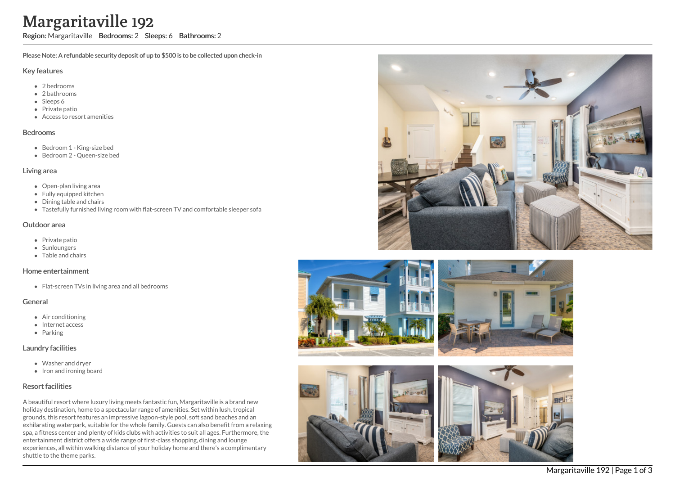# ville 192

Region: Margaritaville Bedrooms: 2 Sleeps: 6 Bathrooms: 2

Please Note: A refundable security deposit of up to \$500 is to be collected upon check-in

#### Key features

- 2 b e d r o o m s
- 2 bathrooms
- Sleeps 6
- Private patio
- Access to resort amenities

#### **Bedrooms**

- Bedroom 1 King-size bed
- Bedroom 2 Queen-size bed

#### Living area

- Open-plan living area
- Fully equipped kitchen
- Dining table and chairs
- Tastefully furnished living room with flat-screen TV and comfortable sleeper sofa

#### Outdoor area

- Private patio
- **Sunloungers**
- T a ble a n d c h air s

#### Home entertainment

Flat-screen TVs in living area and all bedrooms

#### General

- Air conditioning
- Internet access
- Parking

### Laundry facilities

- Washer and dryer
- Iron and ironing board

# Resort facilities

A beautiful resort where luxury living meets fantastic fun, Margaritaville is a brand new holiday destination, home to a spectacular range of amenities. Set within lush, tropical grounds, this resort features an impressive lagoon-style pool, soft sand beaches and an exhilarating waterpark, suitable for the whole family. Guests can also benefit from a relaxing spa, a fitness center and plenty of kids clubs with activities to suit all ages. Furthermore, the entertainment district offers a wide range of first-class shopping, dining and lounge experiences, all within walking distance of your holiday home and there's a complimentary shuttle to the theme parks **Margaritaville Branch (1980)**<br>
Region: Margaritaville Brease Note: A refundable see<br>
Key features<br>
• 2 bedrooms<br>
• 2 bedrooms<br>
• Sleeps 6<br>
• Private patio<br>
• Redroom 1 - King-size<br>
• Bedroom 2 - Queen-si<br>
• Bedroom 2 - Qu







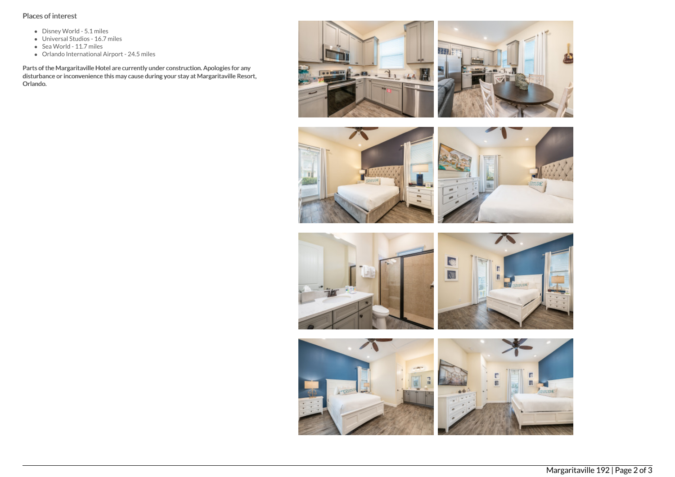## Places of interest

- Disney World 5.1 miles
- Universal Studios 16.7 miles
- Sea World 11.7 miles
- Orlando International Airport 24.5 miles

Parts of the Margaritaville Hotel are currently under construction. Apologies for any disturbance or inconvenience this may cause during your stay at Margaritaville Resort, Orlando.